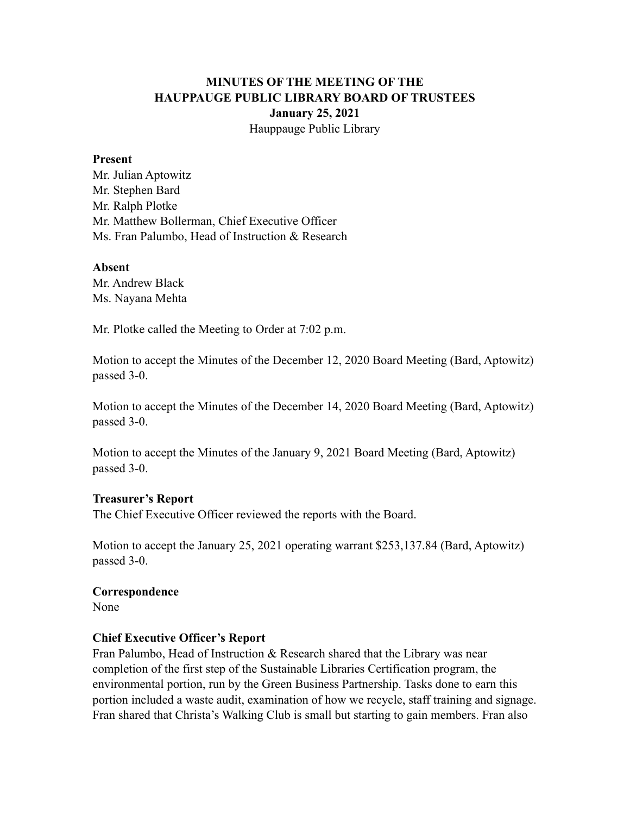# **MINUTES OF THE MEETING OF THE HAUPPAUGE PUBLIC LIBRARY BOARD OF TRUSTEES January 25, 2021** Hauppauge Public Library

#### **Present**

Mr. Julian Aptowitz Mr. Stephen Bard Mr. Ralph Plotke Mr. Matthew Bollerman, Chief Executive Officer Ms. Fran Palumbo, Head of Instruction & Research

#### **Absent**

Mr. Andrew Black Ms. Nayana Mehta

Mr. Plotke called the Meeting to Order at 7:02 p.m.

Motion to accept the Minutes of the December 12, 2020 Board Meeting (Bard, Aptowitz) passed 3-0.

Motion to accept the Minutes of the December 14, 2020 Board Meeting (Bard, Aptowitz) passed 3-0.

Motion to accept the Minutes of the January 9, 2021 Board Meeting (Bard, Aptowitz) passed 3-0.

## **Treasurer's Report**

The Chief Executive Officer reviewed the reports with the Board.

Motion to accept the January 25, 2021 operating warrant \$253,137.84 (Bard, Aptowitz) passed 3-0.

# **Correspondence**

None

## **Chief Executive Officer's Report**

Fran Palumbo, Head of Instruction  $\&$  Research shared that the Library was near completion of the first step of the Sustainable Libraries Certification program, the environmental portion, run by the Green Business Partnership. Tasks done to earn this portion included a waste audit, examination of how we recycle, staff training and signage. Fran shared that Christa's Walking Club is small but starting to gain members. Fran also